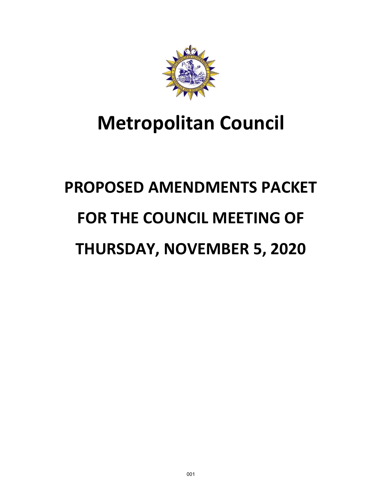

# **Metropolitan Council**

# **PROPOSED AMENDMENTS PACKET FOR THE COUNCIL MEETING OF THURSDAY, NOVEMBER 5, 2020**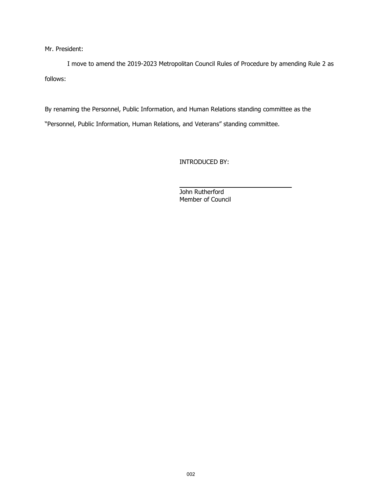Mr. President:

I move to amend the 2019-2023 Metropolitan Council Rules of Procedure by amending Rule 2 as follows:

By renaming the Personnel, Public Information, and Human Relations standing committee as the "Personnel, Public Information, Human Relations, and Veterans" standing committee.

INTRODUCED BY:

 $\overline{a}$ John Rutherford Member of Council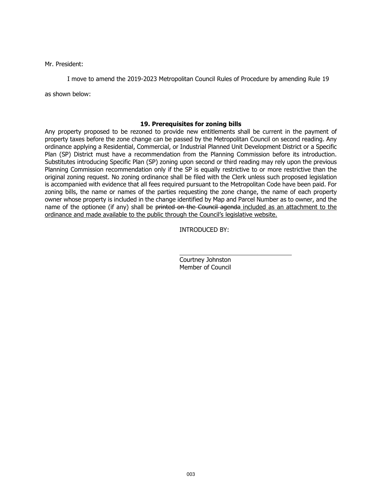Mr. President:

I move to amend the 2019-2023 Metropolitan Council Rules of Procedure by amending Rule 19

as shown below:

# **19. Prerequisites for zoning bills**

Any property proposed to be rezoned to provide new entitlements shall be current in the payment of property taxes before the zone change can be passed by the Metropolitan Council on second reading. Any ordinance applying a Residential, Commercial, or Industrial Planned Unit Development District or a Specific Plan (SP) District must have a recommendation from the Planning Commission before its introduction. Substitutes introducing Specific Plan (SP) zoning upon second or third reading may rely upon the previous Planning Commission recommendation only if the SP is equally restrictive to or more restrictive than the original zoning request. No zoning ordinance shall be filed with the Clerk unless such proposed legislation is accompanied with evidence that all fees required pursuant to the Metropolitan Code have been paid. For zoning bills, the name or names of the parties requesting the zone change, the name of each property owner whose property is included in the change identified by Map and Parcel Number as to owner, and the name of the optionee (if any) shall be printed on the Council agenda included as an attachment to the ordinance and made available to the public through the Council's legislative website.

INTRODUCED BY:

 $\overline{a}$ Courtney Johnston Member of Council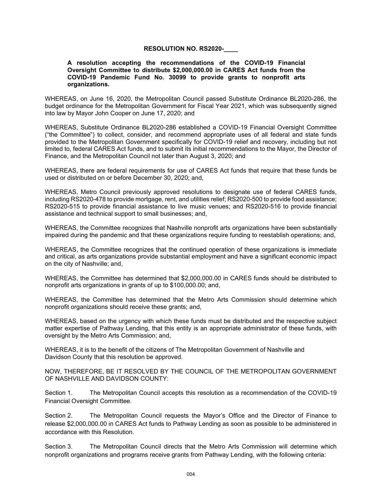# **RESOLUTION NO. RS2020-\_\_\_\_**

#### **A resolution accepting the recommendations of the COVID-19 Financial Oversight Committee to distribute \$2,000,000.00 in CARES Act funds from the COVID-19 Pandemic Fund No. 30099 to provide grants to nonprofit arts organizations.**

WHEREAS, on June 16, 2020, the Metropolitan Council passed Substitute Ordinance BL2020-286, the budget ordinance for the Metropolitan Government for Fiscal Year 2021, which was subsequently signed into law by Mayor John Cooper on June 17, 2020; and

WHEREAS, Substitute Ordinance BL2020-286 established a COVID-19 Financial Oversight Committee ("the Committee") to collect, consider, and recommend appropriate uses of all federal and state funds provided to the Metropolitan Government specifically for COVID-19 relief and recovery, including but not limited to, federal CARES Act funds, and to submit its initial recommendations to the Mayor, the Director of Finance, and the Metropolitan Council not later than August 3, 2020; and

WHEREAS, there are federal requirements for use of CARES Act funds that require that these funds be used or distributed on or before December 30, 2020; and,

WHEREAS, Metro Council previously approved resolutions to designate use of federal CARES funds, including RS2020-478 to provide mortgage, rent, and utilities relief; RS2020-500 to provide food assistance; RS2020-515 to provide financial assistance to live music venues; and RS2020-516 to provide financial assistance and technical support to small businesses; and,

WHEREAS, the Committee recognizes that Nashville nonprofit arts organizations have been substantially impaired during the pandemic and that these organizations require funding to reestablish operations; and,

WHEREAS, the Committee recognizes that the continued operation of these organizations is immediate and critical, as arts organizations provide substantial employment and have a significant economic impact on the city of Nashville; and,

WHEREAS, the Committee has determined that \$2,000,000.00 in CARES funds should be distributed to nonprofit arts organizations in grants of up to \$100,000.00; and,

WHEREAS, the Committee has determined that the Metro Arts Commission should determine which nonprofit organizations should receive these grants; and,

WHEREAS, based on the urgency with which these funds must be distributed and the respective subject matter expertise of Pathway Lending, that this entity is an appropriate administrator of these funds, with oversight by the Metro Arts Commission; and,

WHEREAS, it is to the benefit of the citizens of The Metropolitan Government of Nashville and Davidson County that this resolution be approved.

NOW, THEREFORE, BE IT RESOLVED BY THE COUNCIL OF THE METROPOLITAN GOVERNMENT OF NASHVILLE AND DAVIDSON COUNTY:

Section 1. The Metropolitan Council accepts this resolution as a recommendation of the COVID-19 Financial Oversight Committee.

Section 2. The Metropolitan Council requests the Mayor's Office and the Director of Finance to release \$2,000,000.00 in CARES Act funds to Pathway Lending as soon as possible to be administered in accordance with this Resolution.

Section 3. The Metropolitan Council directs that the Metro Arts Commission will determine which nonprofit organizations and programs receive grants from Pathway Lending, with the following criteria: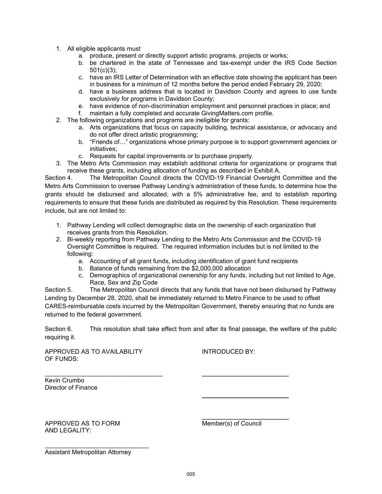- 1. All eligible applicants must
	- a. produce, present or directly support artistic programs, projects or works;
	- b. be chartered in the state of Tennessee and tax-exempt under the IRS Code Section 501(c)(3);
	- c. have an IRS Letter of Determination with an effective date showing the applicant has been in business for a minimum of 12 months before the period ended February 29, 2020;
	- d. have a business address that is located in Davidson County and agrees to use funds exclusively for programs in Davidson County;
	- e. have evidence of non-discrimination employment and personnel practices in place; and
	- f. maintain a fully completed and accurate GivingMatters.com profile.
- 2. The following organizations and programs are ineligible for grants:
	- a. Arts organizations that focus on capacity building, technical assistance, or advocacy and do not offer direct artistic programming;
	- b. "Friends of…" organizations whose primary purpose is to support government agencies or initiatives;
	- c. Requests for capital improvements or to purchase property.
- 3. The Metro Arts Commission may establish additional criteria for organizations or programs that receive these grants, including allocation of funding as described in Exhibit A.

Section 4. The Metropolitan Council directs the COVID-19 Financial Oversight Committee and the Metro Arts Commission to oversee Pathway Lending's administration of these funds, to determine how the grants should be disbursed and allocated, with a 5% administrative fee, and to establish reporting requirements to ensure that these funds are distributed as required by this Resolution. These requirements include, but are not limited to:

- 1. Pathway Lending will collect demographic data on the ownership of each organization that receives grants from this Resolution.
- 2. Bi-weekly reporting from Pathway Lending to the Metro Arts Commission and the COVID-19 Oversight Committee is required. The required information includes but is not limited to the following:
	- a. Accounting of all grant funds, including identification of grant fund recipients
	- b. Balance of funds remaining from the \$2,000,000 allocation

 $\frac{1}{\sqrt{2}}$  , and the set of the set of the set of the set of the set of the set of the set of the set of the set of the set of the set of the set of the set of the set of the set of the set of the set of the set of the

c. Demographics of organizational ownership for any funds, including but not limited to Age, Race, Sex and Zip Code

Section 5. The Metropolitan Council directs that any funds that have not been disbursed by Pathway Lending by December 28, 2020, shall be immediately returned to Metro Finance to be used to offset CARES-reimbursable costs incurred by the Metropolitan Government, thereby ensuring that no funds are returned to the federal government.

Section 6. This resolution shall take effect from and after its final passage, the welfare of the public requiring it.

APPROVED AS TO AVAILABILITY INTRODUCED BY: OF FUNDS:

\_\_\_\_\_\_\_\_\_\_\_\_\_\_\_\_\_\_\_\_\_\_\_\_\_\_\_\_\_\_\_\_\_\_ \_\_\_\_\_\_\_\_\_\_\_\_\_\_\_\_\_\_\_\_\_\_\_\_\_ Kevin Crumbo Director of Finance

 $\frac{1}{\sqrt{2}}$  , and the set of the set of the set of the set of the set of the set of the set of the set of the set of the set of the set of the set of the set of the set of the set of the set of the set of the set of the APPROVED AS TO FORM Member(s) of Council AND LEGALITY:

Assistant Metropolitan Attorney

\_\_\_\_\_\_\_\_\_\_\_\_\_\_\_\_\_\_\_\_\_\_\_\_\_\_\_\_\_\_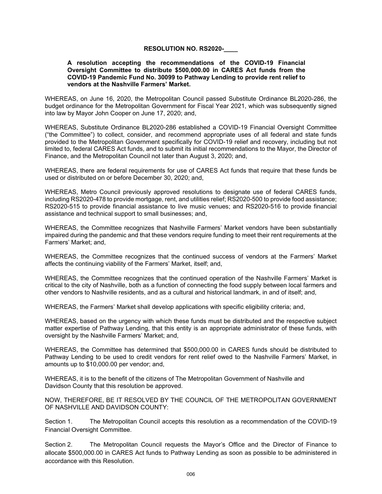# **RESOLUTION NO. RS2020-\_\_\_\_**

#### **A resolution accepting the recommendations of the COVID-19 Financial Oversight Committee to distribute \$500,000.00 in CARES Act funds from the COVID-19 Pandemic Fund No. 30099 to Pathway Lending to provide rent relief to vendors at the Nashville Farmers' Market.**

WHEREAS, on June 16, 2020, the Metropolitan Council passed Substitute Ordinance BL2020-286, the budget ordinance for the Metropolitan Government for Fiscal Year 2021, which was subsequently signed into law by Mayor John Cooper on June 17, 2020; and,

WHEREAS, Substitute Ordinance BL2020-286 established a COVID-19 Financial Oversight Committee ("the Committee") to collect, consider, and recommend appropriate uses of all federal and state funds provided to the Metropolitan Government specifically for COVID-19 relief and recovery, including but not limited to, federal CARES Act funds, and to submit its initial recommendations to the Mayor, the Director of Finance, and the Metropolitan Council not later than August 3, 2020; and,

WHEREAS, there are federal requirements for use of CARES Act funds that require that these funds be used or distributed on or before December 30, 2020; and,

WHEREAS, Metro Council previously approved resolutions to designate use of federal CARES funds, including RS2020-478 to provide mortgage, rent, and utilities relief; RS2020-500 to provide food assistance; RS2020-515 to provide financial assistance to live music venues; and RS2020-516 to provide financial assistance and technical support to small businesses; and,

WHEREAS, the Committee recognizes that Nashville Farmers' Market vendors have been substantially impaired during the pandemic and that these vendors require funding to meet their rent requirements at the Farmers' Market; and,

WHEREAS, the Committee recognizes that the continued success of vendors at the Farmers' Market affects the continuing viability of the Farmers' Market, itself; and,

WHEREAS, the Committee recognizes that the continued operation of the Nashville Farmers' Market is critical to the city of Nashville, both as a function of connecting the food supply between local farmers and other vendors to Nashville residents, and as a cultural and historical landmark, in and of itself; and,

WHEREAS, the Farmers' Market shall develop applications with specific eligibility criteria; and,

WHEREAS, based on the urgency with which these funds must be distributed and the respective subject matter expertise of Pathway Lending, that this entity is an appropriate administrator of these funds, with oversight by the Nashville Farmers' Market; and,

WHEREAS, the Committee has determined that \$500,000.00 in CARES funds should be distributed to Pathway Lending to be used to credit vendors for rent relief owed to the Nashville Farmers' Market, in amounts up to \$10,000.00 per vendor; and,

WHEREAS, it is to the benefit of the citizens of The Metropolitan Government of Nashville and Davidson County that this resolution be approved.

NOW, THEREFORE, BE IT RESOLVED BY THE COUNCIL OF THE METROPOLITAN GOVERNMENT OF NASHVILLE AND DAVIDSON COUNTY:

Section 1. The Metropolitan Council accepts this resolution as a recommendation of the COVID-19 Financial Oversight Committee.

Section 2. The Metropolitan Council requests the Mayor's Office and the Director of Finance to allocate \$500,000.00 in CARES Act funds to Pathway Lending as soon as possible to be administered in accordance with this Resolution.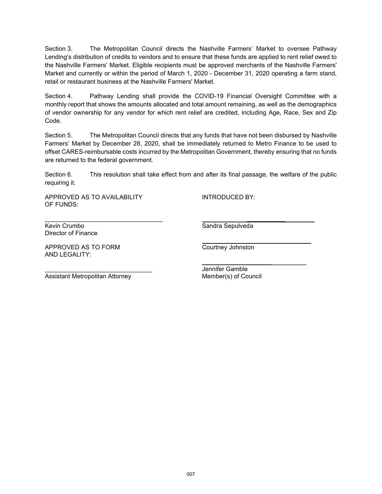Section 3. The Metropolitan Council directs the Nashville Farmers' Market to oversee Pathway Lending's distribution of credits to vendors and to ensure that these funds are applied to rent relief owed to the Nashville Farmers' Market. Eligible recipients must be approved merchants of the Nashville Farmers' Market and currently or within the period of March 1, 2020 - December 31, 2020 operating a farm stand, retail or restaurant business at the Nashville Farmers' Market.

Section 4. Pathway Lending shall provide the COVID-19 Financial Oversight Committee with a monthly report that shows the amounts allocated and total amount remaining, as well as the demographics of vendor ownership for any vendor for which rent relief are credited, including Age, Race, Sex and Zip Code.

Section 5. The Metropolitan Council directs that any funds that have not been disbursed by Nashville Farmers' Market by December 28, 2020, shall be immediately returned to Metro Finance to be used to offset CARES-reimbursable costs incurred by the Metropolitan Government, thereby ensuring that no funds are returned to the federal government.

Section 6. This resolution shall take effect from and after its final passage, the welfare of the public requiring it.

\_\_\_\_\_\_\_\_\_\_\_\_\_\_\_\_\_\_\_\_\_\_\_\_\_\_\_\_\_\_\_\_\_\_ **\_\_\_\_\_\_\_\_\_\_\_** 

**\_\_\_\_\_\_\_\_\_\_\_\_\_\_\_\_\_\_\_\_**\_\_\_\_\_\_\_\_\_\_

APPROVED AS TO AVAILABILITY INTRODUCED BY: OF FUNDS:

Kevin Crumbo **Sandra Sepulveda** Sepulveda Director of Finance

APPROVED AS TO FORM COUT COURT COURT APPROVED AS TO FORM AND LEGALITY:

\_\_\_\_\_\_\_\_

\_\_\_\_\_\_\_\_\_\_\_\_\_\_\_\_\_\_\_\_\_\_\_\_\_\_\_\_\_\_\_ Jennifer Gamble

Assistant Metropolitan Attorney Member(s) of Council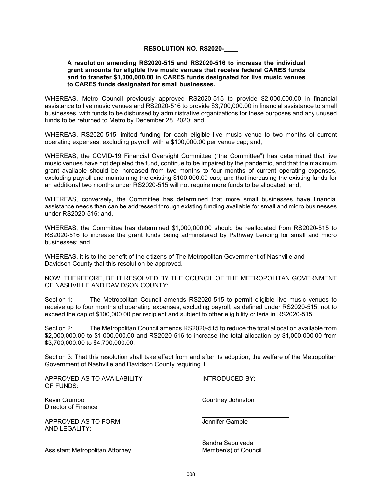### **RESOLUTION NO. RS2020-\_\_\_\_**

#### **A resolution amending RS2020-515 and RS2020-516 to increase the individual grant amounts for eligible live music venues that receive federal CARES funds and to transfer \$1,000,000.00 in CARES funds designated for live music venues to CARES funds designated for small businesses.**

WHEREAS, Metro Council previously approved RS2020-515 to provide \$2,000,000.00 in financial assistance to live music venues and RS2020-516 to provide \$3,700,000.00 in financial assistance to small businesses, with funds to be disbursed by administrative organizations for these purposes and any unused funds to be returned to Metro by December 28, 2020; and,

WHEREAS, RS2020-515 limited funding for each eligible live music venue to two months of current operating expenses, excluding payroll, with a \$100,000.00 per venue cap; and,

WHEREAS, the COVID-19 Financial Oversight Committee ("the Committee") has determined that live music venues have not depleted the fund, continue to be impaired by the pandemic, and that the maximum grant available should be increased from two months to four months of current operating expenses, excluding payroll and maintaining the existing \$100,000.00 cap; and that increasing the existing funds for an additional two months under RS2020-515 will not require more funds to be allocated; and,

WHEREAS, conversely, the Committee has determined that more small businesses have financial assistance needs than can be addressed through existing funding available for small and micro businesses under RS2020-516; and,

WHEREAS, the Committee has determined \$1,000,000.00 should be reallocated from RS2020-515 to RS2020-516 to increase the grant funds being administered by Pathway Lending for small and micro businesses; and,

WHEREAS, it is to the benefit of the citizens of The Metropolitan Government of Nashville and Davidson County that this resolution be approved.

NOW, THEREFORE, BE IT RESOLVED BY THE COUNCIL OF THE METROPOLITAN GOVERNMENT OF NASHVILLE AND DAVIDSON COUNTY:

Section 1: The Metropolitan Council amends RS2020-515 to permit eligible live music venues to receive up to four months of operating expenses, excluding payroll, as defined under RS2020-515, not to exceed the cap of \$100,000.00 per recipient and subject to other eligibility criteria in RS2020-515.

Section 2: The Metropolitan Council amends RS2020-515 to reduce the total allocation available from \$2,000,000.00 to \$1,000,000.00 and RS2020-516 to increase the total allocation by \$1,000,000.00 from \$3,700,000.00 to \$4,700,000.00.

Section 3: That this resolution shall take effect from and after its adoption, the welfare of the Metropolitan Government of Nashville and Davidson County requiring it.

\_\_\_\_\_\_\_\_\_\_\_\_\_\_\_\_\_\_\_\_\_\_\_\_\_\_\_\_\_\_\_\_\_\_ \_\_\_\_\_\_\_\_\_\_\_\_\_\_\_\_\_\_\_\_\_\_\_\_\_

 $\frac{1}{\sqrt{2}}$  , and the set of the set of the set of the set of the set of the set of the set of the set of the set of the set of the set of the set of the set of the set of the set of the set of the set of the set of the

APPROVED AS TO AVAILABILITY INTRODUCED BY: OF FUNDS:

Kevin Crumbo Courtney Johnston Director of Finance

APPROVED AS TO FORM **Internal Contract Contract Contract Contract Contract Contract Contract Contract Contract Contract Contract Contract Contract Contract Contract Contract Contract Contract Contract Contract Contract Con** AND LEGALITY:

Assistant Metropolitan Attorney Member(s) of Council

 $\frac{1}{\sqrt{2}}$  , and the set of the set of the set of the set of the set of the set of the set of the set of the set of the set of the set of the set of the set of the set of the set of the set of the set of the set of the Sandra Sepulveda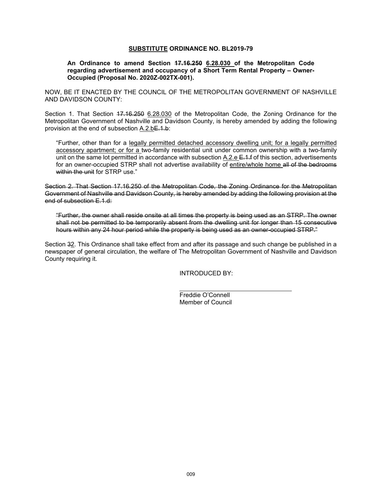#### **SUBSTITUTE ORDINANCE NO. BL2019-79**

#### **An Ordinance to amend Section 17.16.250 6.28.030 of the Metropolitan Code regarding advertisement and occupancy of a Short Term Rental Property – Owner-Occupied (Proposal No. 2020Z-002TX-001).**

NOW, BE IT ENACTED BY THE COUNCIL OF THE METROPOLITAN GOVERNMENT OF NASHVILLE AND DAVIDSON COUNTY:

Section 1. That Section 47.16.250 6.28.030 of the Metropolitan Code, the Zoning Ordinance for the Metropolitan Government of Nashville and Davidson County, is hereby amended by adding the following provision at the end of subsection A.2.bE.1.b:

"Further, other than for a legally permitted detached accessory dwelling unit; for a legally permitted accessory apartment; or for a two-family residential unit under common ownership with a two-family unit on the same lot permitted in accordance with subsection  $A.2. e E.1. f$  of this section, advertisements for an owner-occupied STRP shall not advertise availability of entire/whole home all of the bedrooms within the unit for STRP use."

Section 2. That Section 17.16.250 of the Metropolitan Code, the Zoning Ordinance for the Metropolitan Government of Nashville and Davidson County, is hereby amended by adding the following provision at the end of subsection E.1.d:

"Further, the owner shall reside onsite at all times the property is being used as an STRP. The owner shall not be permitted to be temporarily absent from the dwelling unit for longer than 15 consecutive hours within any 24 hour period while the property is being used as an owner-occupied STRP."

Section 32. This Ordinance shall take effect from and after its passage and such change be published in a newspaper of general circulation, the welfare of The Metropolitan Government of Nashville and Davidson County requiring it.

INTRODUCED BY:

 $\ddot{\phantom{a}}$ Freddie O'Connell Member of Council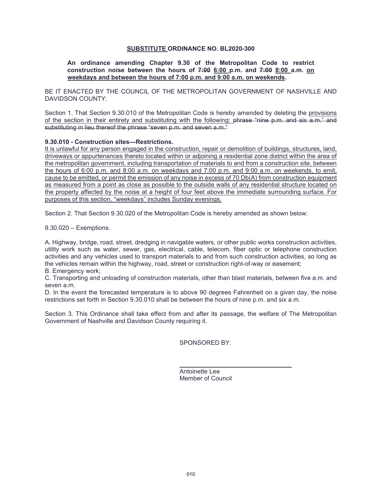### **SUBSTITUTE ORDINANCE NO. BL2020-300**

#### **An ordinance amending Chapter 9.30 of the Metropolitan Code to restrict construction noise between the hours of 7:00 6:00 p.m. and 7:00 8:00 a.m. on weekdays and between the hours of 7:00 p.m. and 9:00 a.m. on weekends.**

BE IT ENACTED BY THE COUNCIL OF THE METROPOLITAN GOVERNMENT OF NASHVILLE AND DAVIDSON COUNTY:

Section 1. That Section 9.30.010 of the Metropolitan Code is hereby amended by deleting the provisions of the section in their entirety and substituting with the following: phrase "nine p.m. and six a.m." and substituting in lieu thereof the phrase "seven p.m. and seven a.m."

#### **9.30.010 - Construction sites—Restrictions.**

It is unlawful for any person engaged in the construction, repair or demolition of buildings, structures, land, driveways or appurtenances thereto located within or adjoining a residential zone district within the area of the metropolitan government, including transportation of materials to and from a construction site, between the hours of 6:00 p.m. and 8:00 a.m. on weekdays and 7:00 p.m. and 9:00 a.m. on weekends, to emit, cause to be emitted, or permit the emission of any noise in excess of 70 Db(A) from construction equipment as measured from a point as close as possible to the outside walls of any residential structure located on the property affected by the noise at a height of four feet above the immediate surrounding surface. For purposes of this section, "weekdays" includes Sunday evenings.

Section 2. That Section 9.30.020 of the Metropolitan Code is hereby amended as shown below:

9.30.020 – Exemptions.

A. Highway, bridge, road, street, dredging in navigable waters, or other public works construction activities, utility work such as water, sewer, gas, electrical, cable, telecom, fiber optic or telephone construction activities and any vehicles used to transport materials to and from such construction activities, so long as the vehicles remain within the highway, road, street or construction right-of-way or easement;

B. Emergency work;

C. Transporting and unloading of construction materials, other than blast materials, between five a.m. and seven a.m.

D. In the event the forecasted temperature is to above 90 degrees Fahrenheit on a given day, the noise restrictions set forth in Section 9.30.010 shall be between the hours of nine p.m. and six a.m.

Section 3. This Ordinance shall take effect from and after its passage, the welfare of The Metropolitan Government of Nashville and Davidson County requiring it.

SPONSORED BY:

 $\overline{a}$ Antoinette Lee Member of Council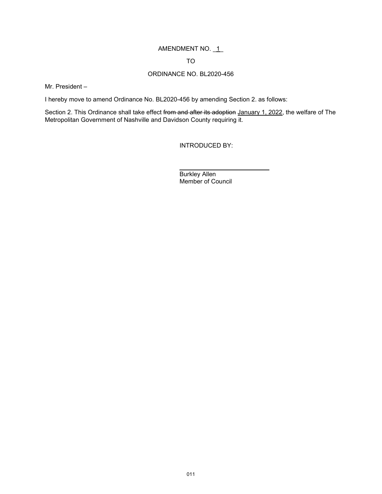# AMENDMENT NO. \_1\_

# TO

# ORDINANCE NO. BL2020-456

Mr. President –

I hereby move to amend Ordinance No. BL2020-456 by amending Section 2. as follows:

Section 2. This Ordinance shall take effect from and after its adoption January 1, 2022, the welfare of The Metropolitan Government of Nashville and Davidson County requiring it.

 $\ddot{\phantom{a}}$ 

INTRODUCED BY:

Burkley Allen Member of Council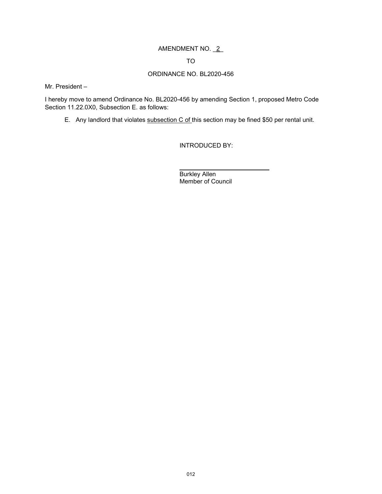# AMENDMENT NO. \_2\_

TO

# ORDINANCE NO. BL2020-456

Mr. President –

I hereby move to amend Ordinance No. BL2020-456 by amending Section 1, proposed Metro Code Section 11.22.0X0, Subsection E. as follows:

 $\ddot{\phantom{a}}$ 

E. Any landlord that violates subsection C of this section may be fined \$50 per rental unit.

INTRODUCED BY:

Burkley Allen Member of Council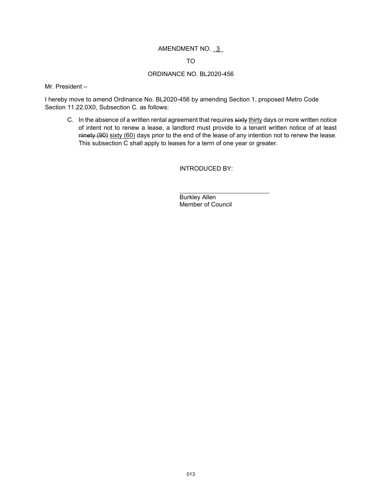# AMENDMENT NO. 3

### TO

# ORDINANCE NO. BL2020-456

Mr. President –

I hereby move to amend Ordinance No. BL2020-456 by amending Section 1, proposed Metro Code Section 11.22.0X0, Subsection C. as follows:

C. In the absence of a written rental agreement that requires sixty thirty days or more written notice of intent not to renew a lease, a landlord must provide to a tenant written notice of at least ninety (90) sixty (60) days prior to the end of the lease of any intention not to renew the lease. This subsection C shall apply to leases for a term of one year or greater.

INTRODUCED BY:

 $\ddot{\phantom{a}}$ Burkley Allen Member of Council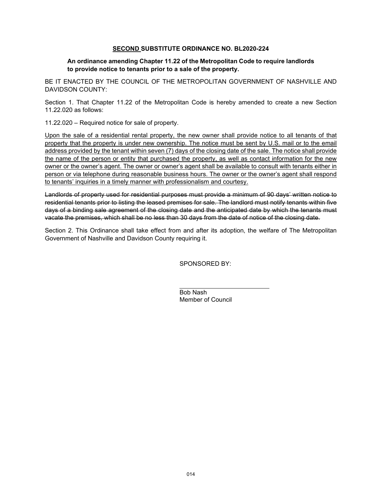# **SECOND SUBSTITUTE ORDINANCE NO. BL2020-224**

### **An ordinance amending Chapter 11.22 of the Metropolitan Code to require landlords to provide notice to tenants prior to a sale of the property.**

BE IT ENACTED BY THE COUNCIL OF THE METROPOLITAN GOVERNMENT OF NASHVILLE AND DAVIDSON COUNTY:

Section 1. That Chapter 11.22 of the Metropolitan Code is hereby amended to create a new Section 11.22.020 as follows:

11.22.020 – Required notice for sale of property.

Upon the sale of a residential rental property, the new owner shall provide notice to all tenants of that property that the property is under new ownership. The notice must be sent by U.S. mail or to the email address provided by the tenant within seven (7) days of the closing date of the sale. The notice shall provide the name of the person or entity that purchased the property, as well as contact information for the new owner or the owner's agent. The owner or owner's agent shall be available to consult with tenants either in person or via telephone during reasonable business hours. The owner or the owner's agent shall respond to tenants' inquiries in a timely manner with professionalism and courtesy.

Landlords of property used for residential purposes must provide a minimum of 90 days' written notice to residential tenants prior to listing the leased premises for sale. The landlord must notify tenants within five days of a binding sale agreement of the closing date and the anticipated date by which the tenants must vacate the premises, which shall be no less than 30 days from the date of notice of the closing date.

Section 2. This Ordinance shall take effect from and after its adoption, the welfare of The Metropolitan Government of Nashville and Davidson County requiring it.

 $\ddot{\phantom{a}}$ 

SPONSORED BY:

Bob Nash Member of Council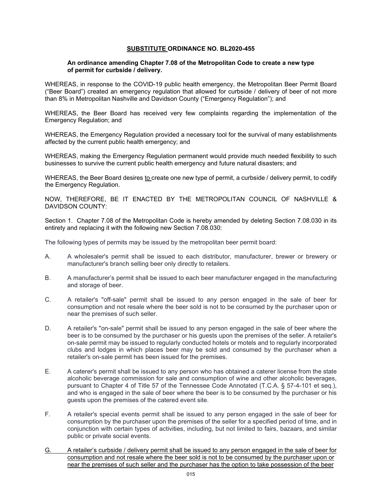### **SUBSTITUTE ORDINANCE NO. BL2020-455**

#### **An ordinance amending Chapter 7.08 of the Metropolitan Code to create a new type of permit for curbside / delivery.**

WHEREAS, in response to the COVID-19 public health emergency, the Metropolitan Beer Permit Board ("Beer Board") created an emergency regulation that allowed for curbside / delivery of beer of not more than 8% in Metropolitan Nashville and Davidson County ("Emergency Regulation"); and

WHEREAS, the Beer Board has received very few complaints regarding the implementation of the Emergency Regulation; and

WHEREAS, the Emergency Regulation provided a necessary tool for the survival of many establishments affected by the current public health emergency; and

WHEREAS, making the Emergency Regulation permanent would provide much needed flexibility to such businesses to survive the current public health emergency and future natural disasters; and

WHEREAS, the Beer Board desires to create one new type of permit, a curbside / delivery permit, to codify the Emergency Regulation.

NOW, THEREFORE, BE IT ENACTED BY THE METROPOLITAN COUNCIL OF NASHVILLE & DAVIDSON COUNTY:

Section 1. Chapter 7.08 of the Metropolitan Code is hereby amended by deleting Section 7.08.030 in its entirety and replacing it with the following new Section 7.08.030:

The following types of permits may be issued by the metropolitan beer permit board:

- A. A wholesaler's permit shall be issued to each distributor, manufacturer, brewer or brewery or manufacturer's branch selling beer only directly to retailers.
- B. A manufacturer's permit shall be issued to each beer manufacturer engaged in the manufacturing and storage of beer.
- C. A retailer's "off-sale" permit shall be issued to any person engaged in the sale of beer for consumption and not resale where the beer sold is not to be consumed by the purchaser upon or near the premises of such seller.
- D. A retailer's "on-sale" permit shall be issued to any person engaged in the sale of beer where the beer is to be consumed by the purchaser or his guests upon the premises of the seller. A retailer's on-sale permit may be issued to regularly conducted hotels or motels and to regularly incorporated clubs and lodges in which places beer may be sold and consumed by the purchaser when a retailer's on-sale permit has been issued for the premises.
- E. A caterer's permit shall be issued to any person who has obtained a caterer license from the state alcoholic beverage commission for sale and consumption of wine and other alcoholic beverages, pursuant to Chapter 4 of Title 57 of the Tennessee Code Annotated (T.C.A. § 57-4-101 et seq.), and who is engaged in the sale of beer where the beer is to be consumed by the purchaser or his guests upon the premises of the catered event site.
- F. A retailer's special events permit shall be issued to any person engaged in the sale of beer for consumption by the purchaser upon the premises of the seller for a specified period of time, and in conjunction with certain types of activities, including, but not limited to fairs, bazaars, and similar public or private social events.
- G. A retailer's curbside / delivery permit shall be issued to any person engaged in the sale of beer for consumption and not resale where the beer sold is not to be consumed by the purchaser upon or near the premises of such seller and the purchaser has the option to take possession of the beer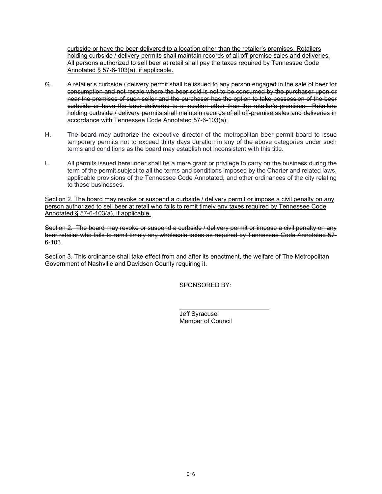curbside or have the beer delivered to a location other than the retailer's premises. Retailers holding curbside / delivery permits shall maintain records of all off-premise sales and deliveries. All persons authorized to sell beer at retail shall pay the taxes required by Tennessee Code Annotated § 57-6-103(a), if applicable.

- G. A retailer's curbside / delivery permit shall be issued to any person engaged in the sale of beer for consumption and not resale where the beer sold is not to be consumed by the purchaser upon or near the premises of such seller and the purchaser has the option to take possession of the beer curbside or have the beer delivered to a location other than the retailer's premises. Retailers holding curbside / delivery permits shall maintain records of all off-premise sales and deliveries in accordance with Tennessee Code Annotated 57-6-103(a).
- H. The board may authorize the executive director of the metropolitan beer permit board to issue temporary permits not to exceed thirty days duration in any of the above categories under such terms and conditions as the board may establish not inconsistent with this title.
- I. All permits issued hereunder shall be a mere grant or privilege to carry on the business during the term of the permit subject to all the terms and conditions imposed by the Charter and related laws, applicable provisions of the Tennessee Code Annotated, and other ordinances of the city relating to these businesses.

Section 2. The board may revoke or suspend a curbside / delivery permit or impose a civil penalty on any person authorized to sell beer at retail who fails to remit timely any taxes required by Tennessee Code Annotated § 57-6-103(a), if applicable.

Section 2. The board may revoke or suspend a curbside / delivery permit or impose a civil penalty on any beer retailer who fails to remit timely any wholesale taxes as required by Tennessee Code Annotated 57- 6-103.

Section 3. This ordinance shall take effect from and after its enactment, the welfare of The Metropolitan Government of Nashville and Davidson County requiring it.

 $\ddot{\phantom{a}}$ 

SPONSORED BY:

Jeff Syracuse Member of Council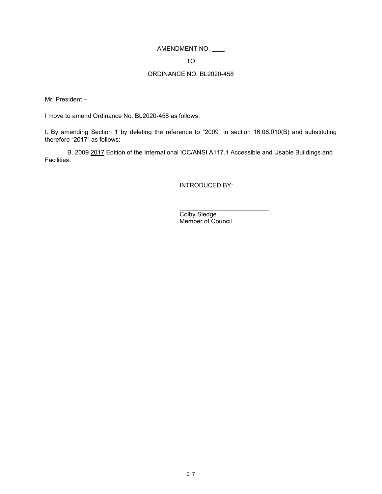# AMENDMENT NO.

#### TO

# ORDINANCE NO. BL2020-458

Mr. President –

I move to amend Ordinance No. BL2020-458 as follows:

I. By amending Section 1 by deleting the reference to "2009" in section 16.08.010(B) and substituting therefore "2017" as follows:

B. 2009 2017 Edition of the International ICC/ANSI A117.1 Accessible and Usable Buildings and Facilities.

l

INTRODUCED BY:

Colby Sledge Member of Council